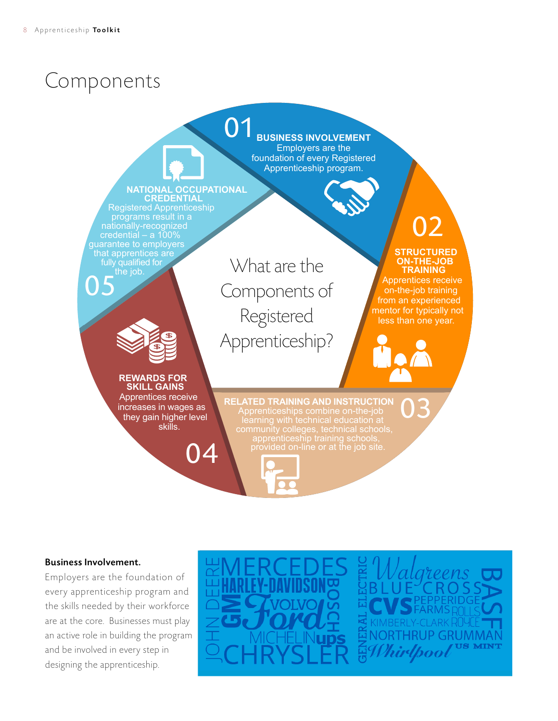# Components



## Business Involvement.

Employers are the foundation of every apprenticeship program and the skills needed by their workforce are at the core. Businesses must play an active role in building the program and be involved in every step in designing the apprenticeship.



GRUMMAN